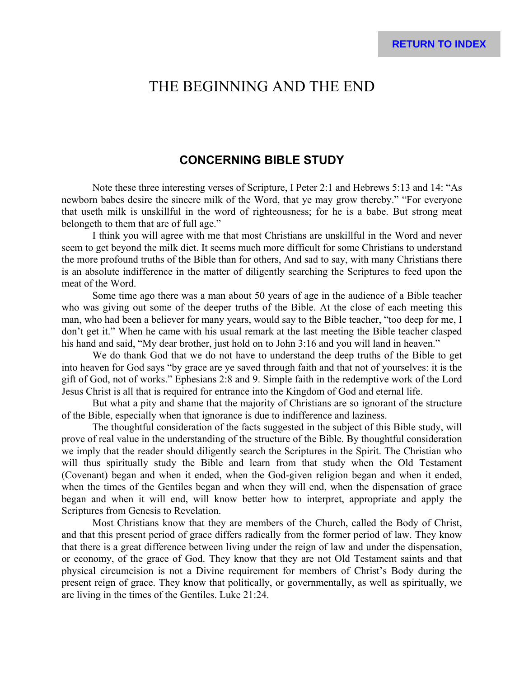# THE BEGINNING AND THE END

### **CONCERNING BIBLE STUDY**

Note these three interesting verses of Scripture, I Peter 2:1 and Hebrews 5:13 and 14: "As newborn babes desire the sincere milk of the Word, that ye may grow thereby." "For everyone that useth milk is unskillful in the word of righteousness; for he is a babe. But strong meat belongeth to them that are of full age."

I think you will agree with me that most Christians are unskillful in the Word and never seem to get beyond the milk diet. It seems much more difficult for some Christians to understand the more profound truths of the Bible than for others, And sad to say, with many Christians there is an absolute indifference in the matter of diligently searching the Scriptures to feed upon the meat of the Word.

Some time ago there was a man about 50 years of age in the audience of a Bible teacher who was giving out some of the deeper truths of the Bible. At the close of each meeting this man, who had been a believer for many years, would say to the Bible teacher, "too deep for me, I don't get it." When he came with his usual remark at the last meeting the Bible teacher clasped his hand and said, "My dear brother, just hold on to John 3:16 and you will land in heaven."

We do thank God that we do not have to understand the deep truths of the Bible to get into heaven for God says "by grace are ye saved through faith and that not of yourselves: it is the gift of God, not of works." Ephesians 2:8 and 9. Simple faith in the redemptive work of the Lord Jesus Christ is all that is required for entrance into the Kingdom of God and eternal life.

But what a pity and shame that the majority of Christians are so ignorant of the structure of the Bible, especially when that ignorance is due to indifference and laziness.

The thoughtful consideration of the facts suggested in the subject of this Bible study, will prove of real value in the understanding of the structure of the Bible. By thoughtful consideration we imply that the reader should diligently search the Scriptures in the Spirit. The Christian who will thus spiritually study the Bible and learn from that study when the Old Testament (Covenant) began and when it ended, when the God-given religion began and when it ended, when the times of the Gentiles began and when they will end, when the dispensation of grace began and when it will end, will know better how to interpret, appropriate and apply the Scriptures from Genesis to Revelation.

Most Christians know that they are members of the Church, called the Body of Christ, and that this present period of grace differs radically from the former period of law. They know that there is a great difference between living under the reign of law and under the dispensation, or economy, of the grace of God. They know that they are not Old Testament saints and that physical circumcision is not a Divine requirement for members of Christ's Body during the present reign of grace. They know that politically, or governmentally, as well as spiritually, we are living in the times of the Gentiles. Luke 21:24.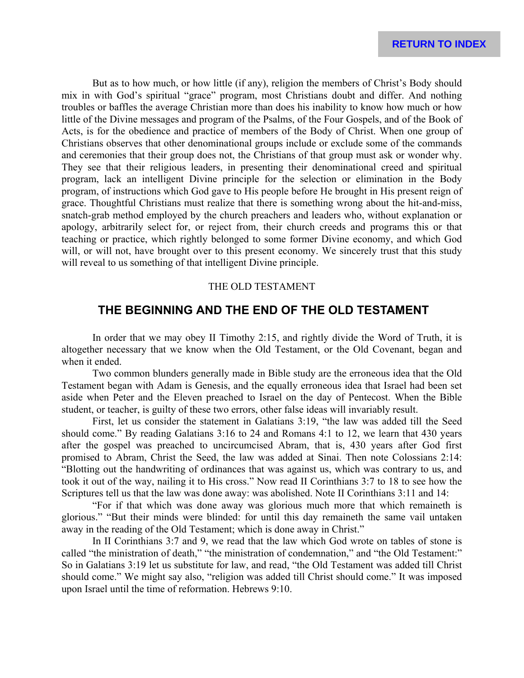But as to how much, or how little (if any), religion the members of Christ's Body should mix in with God's spiritual "grace" program, most Christians doubt and differ. And nothing troubles or baffles the average Christian more than does his inability to know how much or how little of the Divine messages and program of the Psalms, of the Four Gospels, and of the Book of Acts, is for the obedience and practice of members of the Body of Christ. When one group of Christians observes that other denominational groups include or exclude some of the commands and ceremonies that their group does not, the Christians of that group must ask or wonder why. They see that their religious leaders, in presenting their denominational creed and spiritual program, lack an intelligent Divine principle for the selection or elimination in the Body program, of instructions which God gave to His people before He brought in His present reign of grace. Thoughtful Christians must realize that there is something wrong about the hit-and-miss, snatch-grab method employed by the church preachers and leaders who, without explanation or apology, arbitrarily select for, or reject from, their church creeds and programs this or that teaching or practice, which rightly belonged to some former Divine economy, and which God will, or will not, have brought over to this present economy. We sincerely trust that this study will reveal to us something of that intelligent Divine principle.

### THE OLD TESTAMENT

### **THE BEGINNING AND THE END OF THE OLD TESTAMENT**

In order that we may obey II Timothy 2:15, and rightly divide the Word of Truth, it is altogether necessary that we know when the Old Testament, or the Old Covenant, began and when it ended.

Two common blunders generally made in Bible study are the erroneous idea that the Old Testament began with Adam is Genesis, and the equally erroneous idea that Israel had been set aside when Peter and the Eleven preached to Israel on the day of Pentecost. When the Bible student, or teacher, is guilty of these two errors, other false ideas will invariably result.

First, let us consider the statement in Galatians 3:19, "the law was added till the Seed should come." By reading Galatians 3:16 to 24 and Romans 4:1 to 12, we learn that 430 years after the gospel was preached to uncircumcised Abram, that is, 430 years after God first promised to Abram, Christ the Seed, the law was added at Sinai. Then note Colossians 2:14: "Blotting out the handwriting of ordinances that was against us, which was contrary to us, and took it out of the way, nailing it to His cross." Now read II Corinthians 3:7 to 18 to see how the Scriptures tell us that the law was done away: was abolished. Note II Corinthians 3:11 and 14:

"For if that which was done away was glorious much more that which remaineth is glorious." "But their minds were blinded: for until this day remaineth the same vail untaken away in the reading of the Old Testament; which is done away in Christ."

In II Corinthians 3:7 and 9, we read that the law which God wrote on tables of stone is called "the ministration of death," "the ministration of condemnation," and "the Old Testament:" So in Galatians 3:19 let us substitute for law, and read, "the Old Testament was added till Christ should come." We might say also, "religion was added till Christ should come." It was imposed upon Israel until the time of reformation. Hebrews 9:10.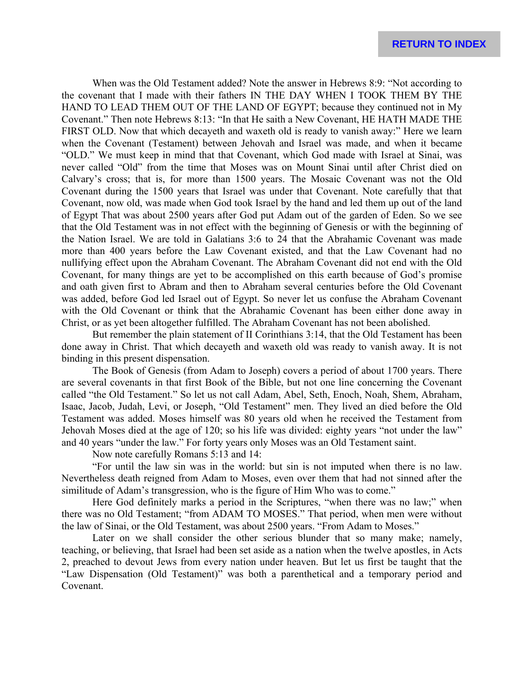When was the Old Testament added? Note the answer in Hebrews 8:9: "Not according to the covenant that I made with their fathers IN THE DAY WHEN I TOOK THEM BY THE HAND TO LEAD THEM OUT OF THE LAND OF EGYPT; because they continued not in My Covenant." Then note Hebrews 8:13: "In that He saith a New Covenant, HE HATH MADE THE FIRST OLD. Now that which decayeth and waxeth old is ready to vanish away:" Here we learn when the Covenant (Testament) between Jehovah and Israel was made, and when it became "OLD." We must keep in mind that that Covenant, which God made with Israel at Sinai, was never called "Old" from the time that Moses was on Mount Sinai until after Christ died on Calvary's cross; that is, for more than 1500 years. The Mosaic Covenant was not the Old Covenant during the 1500 years that Israel was under that Covenant. Note carefully that that Covenant, now old, was made when God took Israel by the hand and led them up out of the land of Egypt That was about 2500 years after God put Adam out of the garden of Eden. So we see that the Old Testament was in not effect with the beginning of Genesis or with the beginning of the Nation Israel. We are told in Galatians 3:6 to 24 that the Abrahamic Covenant was made more than 400 years before the Law Covenant existed, and that the Law Covenant had no nullifying effect upon the Abraham Covenant. The Abraham Covenant did not end with the Old Covenant, for many things are yet to be accomplished on this earth because of God's promise and oath given first to Abram and then to Abraham several centuries before the Old Covenant was added, before God led Israel out of Egypt. So never let us confuse the Abraham Covenant with the Old Covenant or think that the Abrahamic Covenant has been either done away in Christ, or as yet been altogether fulfilled. The Abraham Covenant has not been abolished.

But remember the plain statement of II Corinthians 3:14, that the Old Testament has been done away in Christ. That which decayeth and waxeth old was ready to vanish away. It is not binding in this present dispensation.

The Book of Genesis (from Adam to Joseph) covers a period of about 1700 years. There are several covenants in that first Book of the Bible, but not one line concerning the Covenant called "the Old Testament." So let us not call Adam, Abel, Seth, Enoch, Noah, Shem, Abraham, Isaac, Jacob, Judah, Levi, or Joseph, "Old Testament" men. They lived an died before the Old Testament was added. Moses himself was 80 years old when he received the Testament from Jehovah Moses died at the age of 120; so his life was divided: eighty years "not under the law" and 40 years "under the law." For forty years only Moses was an Old Testament saint.

Now note carefully Romans 5:13 and 14:

"For until the law sin was in the world: but sin is not imputed when there is no law. Nevertheless death reigned from Adam to Moses, even over them that had not sinned after the similitude of Adam's transgression, who is the figure of Him Who was to come."

Here God definitely marks a period in the Scriptures, "when there was no law;" when there was no Old Testament; "from ADAM TO MOSES." That period, when men were without the law of Sinai, or the Old Testament, was about 2500 years. "From Adam to Moses."

Later on we shall consider the other serious blunder that so many make; namely, teaching, or believing, that Israel had been set aside as a nation when the twelve apostles, in Acts 2, preached to devout Jews from every nation under heaven. But let us first be taught that the "Law Dispensation (Old Testament)" was both a parenthetical and a temporary period and Covenant.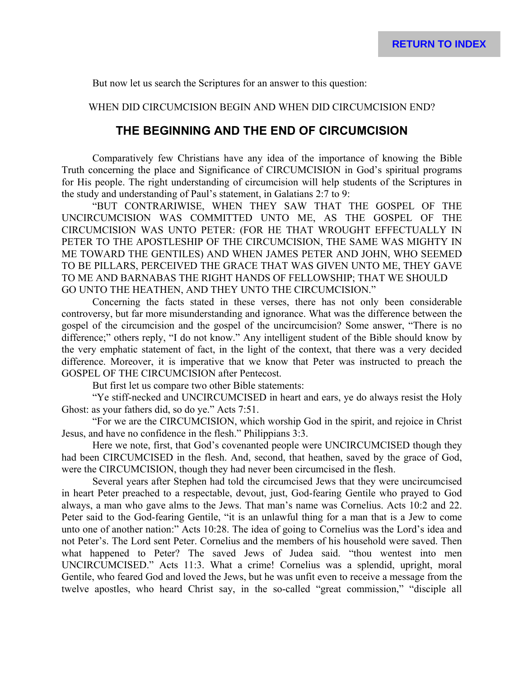But now let us search the Scriptures for an answer to this question:

WHEN DID CIRCUMCISION BEGIN AND WHEN DID CIRCUMCISION END?

### **THE BEGINNING AND THE END OF CIRCUMCISION**

Comparatively few Christians have any idea of the importance of knowing the Bible Truth concerning the place and Significance of CIRCUMCISION in God's spiritual programs for His people. The right understanding of circumcision will help students of the Scriptures in the study and understanding of Paul's statement, in Galatians 2:7 to 9:

"BUT CONTRARIWISE, WHEN THEY SAW THAT THE GOSPEL OF THE UNCIRCUMCISION WAS COMMITTED UNTO ME, AS THE GOSPEL OF THE CIRCUMCISION WAS UNTO PETER: (FOR HE THAT WROUGHT EFFECTUALLY IN PETER TO THE APOSTLESHIP OF THE CIRCUMCISION, THE SAME WAS MIGHTY IN ME TOWARD THE GENTILES) AND WHEN JAMES PETER AND JOHN, WHO SEEMED TO BE PILLARS, PERCEIVED THE GRACE THAT WAS GIVEN UNTO ME, THEY GAVE TO ME AND BARNABAS THE RIGHT HANDS OF FELLOWSHIP; THAT WE SHOULD GO UNTO THE HEATHEN, AND THEY UNTO THE CIRCUMCISION."

Concerning the facts stated in these verses, there has not only been considerable controversy, but far more misunderstanding and ignorance. What was the difference between the gospel of the circumcision and the gospel of the uncircumcision? Some answer, "There is no difference;" others reply, "I do not know." Any intelligent student of the Bible should know by the very emphatic statement of fact, in the light of the context, that there was a very decided difference. Moreover, it is imperative that we know that Peter was instructed to preach the GOSPEL OF THE CIRCUMCISION after Pentecost.

But first let us compare two other Bible statements:

"Ye stiff-necked and UNCIRCUMCISED in heart and ears, ye do always resist the Holy Ghost: as your fathers did, so do ye." Acts 7:51.

"For we are the CIRCUMCISION, which worship God in the spirit, and rejoice in Christ Jesus, and have no confidence in the flesh." Philippians 3:3.

Here we note, first, that God's covenanted people were UNCIRCUMCISED though they had been CIRCUMCISED in the flesh. And, second, that heathen, saved by the grace of God, were the CIRCUMCISION, though they had never been circumcised in the flesh.

Several years after Stephen had told the circumcised Jews that they were uncircumcised in heart Peter preached to a respectable, devout, just, God-fearing Gentile who prayed to God always, a man who gave alms to the Jews. That man's name was Cornelius. Acts 10:2 and 22. Peter said to the God-fearing Gentile, "it is an unlawful thing for a man that is a Jew to come unto one of another nation:" Acts 10:28. The idea of going to Cornelius was the Lord's idea and not Peter's. The Lord sent Peter. Cornelius and the members of his household were saved. Then what happened to Peter? The saved Jews of Judea said. "thou wentest into men UNCIRCUMCISED." Acts 11:3. What a crime! Cornelius was a splendid, upright, moral Gentile, who feared God and loved the Jews, but he was unfit even to receive a message from the twelve apostles, who heard Christ say, in the so-called "great commission," "disciple all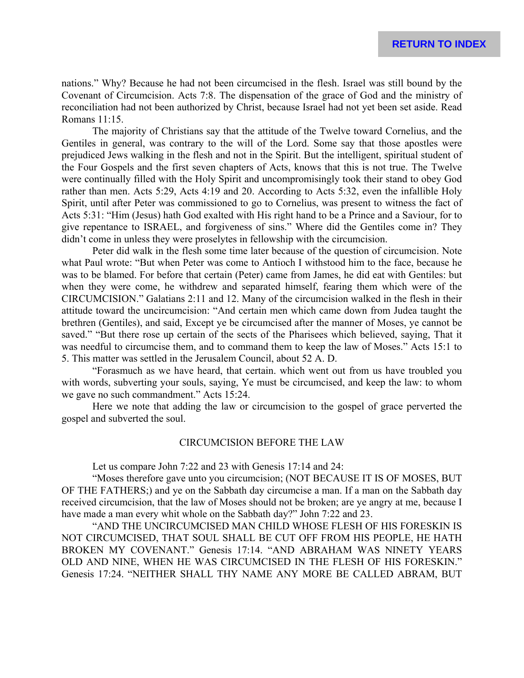nations." Why? Because he had not been circumcised in the flesh. Israel was still bound by the Covenant of Circumcision. Acts 7:8. The dispensation of the grace of God and the ministry of reconciliation had not been authorized by Christ, because Israel had not yet been set aside. Read Romans 11:15.

The majority of Christians say that the attitude of the Twelve toward Cornelius, and the Gentiles in general, was contrary to the will of the Lord. Some say that those apostles were prejudiced Jews walking in the flesh and not in the Spirit. But the intelligent, spiritual student of the Four Gospels and the first seven chapters of Acts, knows that this is not true. The Twelve were continually filled with the Holy Spirit and uncompromisingly took their stand to obey God rather than men. Acts 5:29, Acts 4:19 and 20. According to Acts 5:32, even the infallible Holy Spirit, until after Peter was commissioned to go to Cornelius, was present to witness the fact of Acts 5:31: "Him (Jesus) hath God exalted with His right hand to be a Prince and a Saviour, for to give repentance to ISRAEL, and forgiveness of sins." Where did the Gentiles come in? They didn't come in unless they were proselytes in fellowship with the circumcision.

Peter did walk in the flesh some time later because of the question of circumcision. Note what Paul wrote: "But when Peter was come to Antioch I withstood him to the face, because he was to be blamed. For before that certain (Peter) came from James, he did eat with Gentiles: but when they were come, he withdrew and separated himself, fearing them which were of the CIRCUMCISION." Galatians 2:11 and 12. Many of the circumcision walked in the flesh in their attitude toward the uncircumcision: "And certain men which came down from Judea taught the brethren (Gentiles), and said, Except ye be circumcised after the manner of Moses, ye cannot be saved." "But there rose up certain of the sects of the Pharisees which believed, saying, That it was needful to circumcise them, and to command them to keep the law of Moses." Acts 15:1 to 5. This matter was settled in the Jerusalem Council, about 52 A. D.

"Forasmuch as we have heard, that certain. which went out from us have troubled you with words, subverting your souls, saying, Ye must be circumcised, and keep the law: to whom we gave no such commandment." Acts 15:24.

Here we note that adding the law or circumcision to the gospel of grace perverted the gospel and subverted the soul.

#### CIRCUMCISION BEFORE THE LAW

Let us compare John 7:22 and 23 with Genesis 17:14 and 24:

"Moses therefore gave unto you circumcision; (NOT BECAUSE IT IS OF MOSES, BUT OF THE FATHERS;) and ye on the Sabbath day circumcise a man. If a man on the Sabbath day received circumcision, that the law of Moses should not be broken; are ye angry at me, because I have made a man every whit whole on the Sabbath day?" John 7:22 and 23.

"AND THE UNCIRCUMCISED MAN CHILD WHOSE FLESH OF HIS FORESKIN IS NOT CIRCUMCISED, THAT SOUL SHALL BE CUT OFF FROM HIS PEOPLE, HE HATH BROKEN MY COVENANT." Genesis 17:14. "AND ABRAHAM WAS NINETY YEARS OLD AND NINE, WHEN HE WAS CIRCUMCISED IN THE FLESH OF HIS FORESKIN." Genesis 17:24. "NEITHER SHALL THY NAME ANY MORE BE CALLED ABRAM, BUT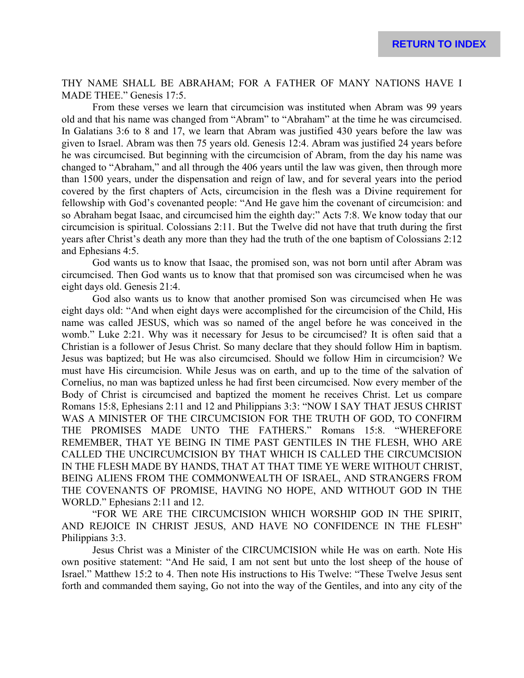THY NAME SHALL BE ABRAHAM; FOR A FATHER OF MANY NATIONS HAVE I MADE THEE." Genesis 17:5.

From these verses we learn that circumcision was instituted when Abram was 99 years old and that his name was changed from "Abram" to "Abraham" at the time he was circumcised. In Galatians 3:6 to 8 and 17, we learn that Abram was justified 430 years before the law was given to Israel. Abram was then 75 years old. Genesis 12:4. Abram was justified 24 years before he was circumcised. But beginning with the circumcision of Abram, from the day his name was changed to "Abraham," and all through the 406 years until the law was given, then through more than 1500 years, under the dispensation and reign of law, and for several years into the period covered by the first chapters of Acts, circumcision in the flesh was a Divine requirement for fellowship with God's covenanted people: "And He gave him the covenant of circumcision: and so Abraham begat Isaac, and circumcised him the eighth day:" Acts 7:8. We know today that our circumcision is spiritual. Colossians 2:11. But the Twelve did not have that truth during the first years after Christ's death any more than they had the truth of the one baptism of Colossians 2:12 and Ephesians 4:5.

God wants us to know that Isaac, the promised son, was not born until after Abram was circumcised. Then God wants us to know that that promised son was circumcised when he was eight days old. Genesis 21:4.

God also wants us to know that another promised Son was circumcised when He was eight days old: "And when eight days were accomplished for the circumcision of the Child, His name was called JESUS, which was so named of the angel before he was conceived in the womb." Luke 2:21. Why was it necessary for Jesus to be circumcised? It is often said that a Christian is a follower of Jesus Christ. So many declare that they should follow Him in baptism. Jesus was baptized; but He was also circumcised. Should we follow Him in circumcision? We must have His circumcision. While Jesus was on earth, and up to the time of the salvation of Cornelius, no man was baptized unless he had first been circumcised. Now every member of the Body of Christ is circumcised and baptized the moment he receives Christ. Let us compare Romans 15:8, Ephesians 2:11 and 12 and Philippians 3:3: "NOW I SAY THAT JESUS CHRIST WAS A MINISTER OF THE CIRCUMCISION FOR THE TRUTH OF GOD, TO CONFIRM THE PROMISES MADE UNTO THE FATHERS." Romans 15:8. "WHEREFORE REMEMBER, THAT YE BEING IN TIME PAST GENTILES IN THE FLESH, WHO ARE CALLED THE UNCIRCUMCISION BY THAT WHICH IS CALLED THE CIRCUMCISION IN THE FLESH MADE BY HANDS, THAT AT THAT TIME YE WERE WITHOUT CHRIST, BEING ALIENS FROM THE COMMONWEALTH OF ISRAEL, AND STRANGERS FROM THE COVENANTS OF PROMISE, HAVING NO HOPE, AND WITHOUT GOD IN THE WORLD." Ephesians 2:11 and 12.

"FOR WE ARE THE CIRCUMCISION WHICH WORSHIP GOD IN THE SPIRIT, AND REJOICE IN CHRIST JESUS, AND HAVE NO CONFIDENCE IN THE FLESH" Philippians 3:3.

Jesus Christ was a Minister of the CIRCUMCISION while He was on earth. Note His own positive statement: "And He said, I am not sent but unto the lost sheep of the house of Israel." Matthew 15:2 to 4. Then note His instructions to His Twelve: "These Twelve Jesus sent forth and commanded them saying, Go not into the way of the Gentiles, and into any city of the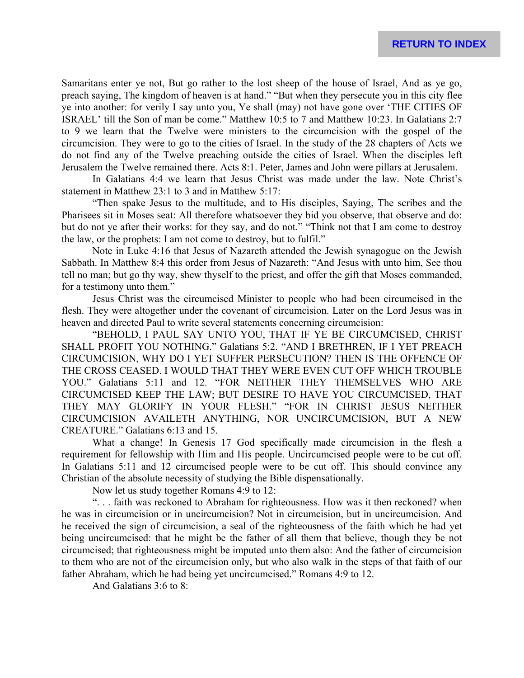Samaritans enter ye not, But go rather to the lost sheep of the house of Israel, And as ye go, preach saying, The kingdom of heaven is at hand." "But when they persecute you in this city flee ye into another: for verily I say unto you, Ye shall (may) not have gone over 'THE CITIES OF ISRAEL' till the Son of man be come." Matthew 10:5 to 7 and Matthew 10:23. In Galatians 2:7 to 9 we learn that the Twelve were ministers to the circumcision with the gospel of the circumcision. They were to go to the cities of Israel. In the study of the 28 chapters of Acts we do not find any of the Twelve preaching outside the cities of Israel. When the disciples left Jerusalem the Twelve remained there. Acts 8:1. Peter, James and John were pillars at Jerusalem.

In Galatians 4:4 we learn that Jesus Christ was made under the law. Note Christ's statement in Matthew 23:1 to 3 and in Matthew 5:17:

"Then spake Jesus to the multitude, and to His disciples, Saying, The scribes and the Pharisees sit in Moses seat: All therefore whatsoever they bid you observe, that observe and do: but do not ye after their works: for they say, and do not." "Think not that I am come to destroy the law, or the prophets: I am not come to destroy, but to fulfil."

Note in Luke 4:16 that Jesus of Nazareth attended the Jewish synagogue on the Jewish Sabbath. In Matthew 8:4 this order from Jesus of Nazareth: "And Jesus with unto him, See thou tell no man; but go thy way, shew thyself to the priest, and offer the gift that Moses commanded, for a testimony unto them."

Jesus Christ was the circumcised Minister to people who had been circumcised in the flesh. They were altogether under the covenant of circumcision. Later on the Lord Jesus was in heaven and directed Paul to write several statements concerning circumcision:

"BEHOLD, I PAUL SAY UNTO YOU, THAT IF YE BE CIRCUMCISED, CHRIST SHALL PROFIT YOU NOTHING." Galatians 5:2. "AND I BRETHREN, IF I YET PREACH CIRCUMCISION, WHY DO I YET SUFFER PERSECUTION? THEN IS THE OFFENCE OF THE CROSS CEASED. I WOULD THAT THEY WERE EVEN CUT OFF WHICH TROUBLE YOU." Galatians 5:11 and 12. "FOR NEITHER THEY THEMSELVES WHO ARE CIRCUMCISED KEEP THE LAW; BUT DESIRE TO HAVE YOU CIRCUMCISED, THAT THEY MAY GLORIFY IN YOUR FLESH." "FOR IN CHRIST JESUS NEITHER CIRCUMCISION AVAILETH ANYTHING, NOR UNCIRCUMCISION, BUT A NEW CREATURE." Galatians 6:13 and 15.

What a change! In Genesis 17 God specifically made circumcision in the flesh a requirement for fellowship with Him and His people. Uncircumcised people were to be cut off. In Galatians 5:11 and 12 circumcised people were to be cut off. This should convince any Christian of the absolute necessity of studying the Bible dispensationally.

Now let us study together Romans 4:9 to 12:

". . . faith was reckoned to Abraham for righteousness. How was it then reckoned? when he was in circumcision or in uncircumcision? Not in circumcision, but in uncircumcision. And he received the sign of circumcision, a seal of the righteousness of the faith which he had yet being uncircumcised: that he might be the father of all them that believe, though they be not circumcised; that righteousness might be imputed unto them also: And the father of circumcision to them who are not of the circumcision only, but who also walk in the steps of that faith of our father Abraham, which he had being yet uncircumcised." Romans 4:9 to 12.

And Galatians 3:6 to 8: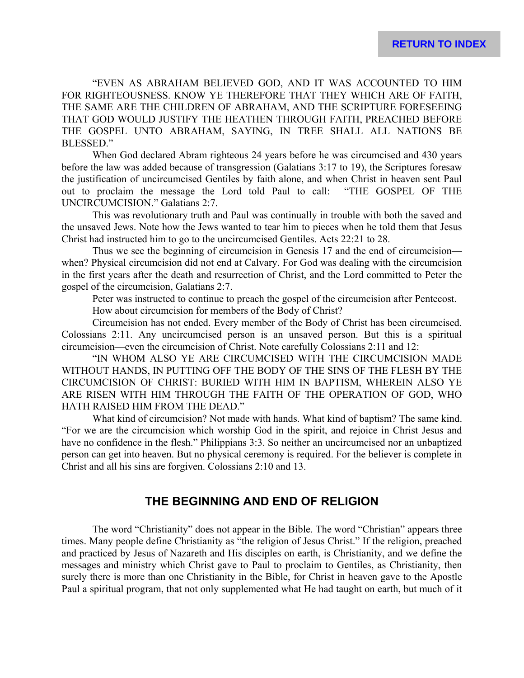"EVEN AS ABRAHAM BELIEVED GOD, AND IT WAS ACCOUNTED TO HIM FOR RIGHTEOUSNESS. KNOW YE THEREFORE THAT THEY WHICH ARE OF FAITH, THE SAME ARE THE CHILDREN OF ABRAHAM, AND THE SCRIPTURE FORESEEING THAT GOD WOULD JUSTIFY THE HEATHEN THROUGH FAITH, PREACHED BEFORE THE GOSPEL UNTO ABRAHAM, SAYING, IN TREE SHALL ALL NATIONS BE BLESSED<sup>"</sup>

When God declared Abram righteous 24 years before he was circumcised and 430 years before the law was added because of transgression (Galatians 3:17 to 19), the Scriptures foresaw the justification of uncircumcised Gentiles by faith alone, and when Christ in heaven sent Paul out to proclaim the message the Lord told Paul to call: "THE GOSPEL OF THE UNCIRCUMCISION." Galatians 2:7.

This was revolutionary truth and Paul was continually in trouble with both the saved and the unsaved Jews. Note how the Jews wanted to tear him to pieces when he told them that Jesus Christ had instructed him to go to the uncircumcised Gentiles. Acts 22:21 to 28.

Thus we see the beginning of circumcision in Genesis 17 and the end of circumcision when? Physical circumcision did not end at Calvary. For God was dealing with the circumcision in the first years after the death and resurrection of Christ, and the Lord committed to Peter the gospel of the circumcision, Galatians 2:7.

Peter was instructed to continue to preach the gospel of the circumcision after Pentecost.

How about circumcision for members of the Body of Christ?

Circumcision has not ended. Every member of the Body of Christ has been circumcised. Colossians 2:11. Any uncircumcised person is an unsaved person. But this is a spiritual circumcision—even the circumcision of Christ. Note carefully Colossians 2:11 and 12:

"IN WHOM ALSO YE ARE CIRCUMCISED WITH THE CIRCUMCISION MADE WITHOUT HANDS, IN PUTTING OFF THE BODY OF THE SINS OF THE FLESH BY THE CIRCUMCISION OF CHRIST: BURIED WITH HIM IN BAPTISM, WHEREIN ALSO YE ARE RISEN WITH HIM THROUGH THE FAITH OF THE OPERATION OF GOD, WHO HATH RAISED HIM FROM THE DEAD."

What kind of circumcision? Not made with hands. What kind of baptism? The same kind. "For we are the circumcision which worship God in the spirit, and rejoice in Christ Jesus and have no confidence in the flesh." Philippians 3:3. So neither an uncircumcised nor an unbaptized person can get into heaven. But no physical ceremony is required. For the believer is complete in Christ and all his sins are forgiven. Colossians 2:10 and 13.

## **THE BEGINNING AND END OF RELIGION**

The word "Christianity" does not appear in the Bible. The word "Christian" appears three times. Many people define Christianity as "the religion of Jesus Christ." If the religion, preached and practiced by Jesus of Nazareth and His disciples on earth, is Christianity, and we define the messages and ministry which Christ gave to Paul to proclaim to Gentiles, as Christianity, then surely there is more than one Christianity in the Bible, for Christ in heaven gave to the Apostle Paul a spiritual program, that not only supplemented what He had taught on earth, but much of it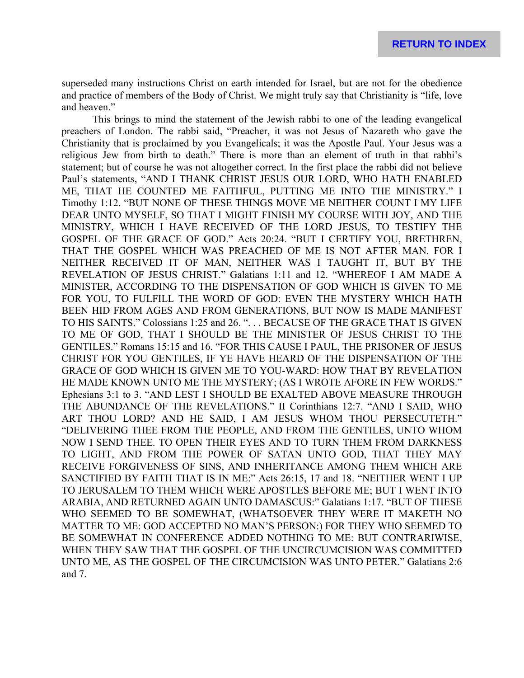superseded many instructions Christ on earth intended for Israel, but are not for the obedience and practice of members of the Body of Christ. We might truly say that Christianity is "life, love and heaven."

This brings to mind the statement of the Jewish rabbi to one of the leading evangelical preachers of London. The rabbi said, "Preacher, it was not Jesus of Nazareth who gave the Christianity that is proclaimed by you Evangelicals; it was the Apostle Paul. Your Jesus was a religious Jew from birth to death." There is more than an element of truth in that rabbi's statement; but of course he was not altogether correct. In the first place the rabbi did not believe Paul's statements, "AND I THANK CHRIST JESUS OUR LORD, WHO HATH ENABLED ME, THAT HE COUNTED ME FAITHFUL, PUTTING ME INTO THE MINISTRY." I Timothy 1:12. "BUT NONE OF THESE THINGS MOVE ME NEITHER COUNT I MY LIFE DEAR UNTO MYSELF, SO THAT I MIGHT FINISH MY COURSE WITH JOY, AND THE MINISTRY, WHICH I HAVE RECEIVED OF THE LORD JESUS, TO TESTIFY THE GOSPEL OF THE GRACE OF GOD." Acts 20:24. "BUT I CERTIFY YOU, BRETHREN, THAT THE GOSPEL WHICH WAS PREACHED OF ME IS NOT AFTER MAN. FOR I NEITHER RECEIVED IT OF MAN, NEITHER WAS I TAUGHT IT, BUT BY THE REVELATION OF JESUS CHRIST." Galatians 1:11 and 12. "WHEREOF I AM MADE A MINISTER, ACCORDING TO THE DISPENSATION OF GOD WHICH IS GIVEN TO ME FOR YOU, TO FULFILL THE WORD OF GOD: EVEN THE MYSTERY WHICH HATH BEEN HID FROM AGES AND FROM GENERATIONS, BUT NOW IS MADE MANIFEST TO HIS SAINTS." Colossians 1:25 and 26. ". . . BECAUSE OF THE GRACE THAT IS GIVEN TO ME OF GOD, THAT I SHOULD BE THE MINISTER OF JESUS CHRIST TO THE GENTILES." Romans 15:15 and 16. "FOR THIS CAUSE I PAUL, THE PRISONER OF JESUS CHRIST FOR YOU GENTILES, IF YE HAVE HEARD OF THE DISPENSATION OF THE GRACE OF GOD WHICH IS GIVEN ME TO YOU-WARD: HOW THAT BY REVELATION HE MADE KNOWN UNTO ME THE MYSTERY; (AS I WROTE AFORE IN FEW WORDS." Ephesians 3:1 to 3. "AND LEST I SHOULD BE EXALTED ABOVE MEASURE THROUGH THE ABUNDANCE OF THE REVELATIONS." II Corinthians 12:7. "AND I SAID, WHO ART THOU LORD? AND HE SAID, I AM JESUS WHOM THOU PERSECUTETH." "DELIVERING THEE FROM THE PEOPLE, AND FROM THE GENTILES, UNTO WHOM NOW I SEND THEE. TO OPEN THEIR EYES AND TO TURN THEM FROM DARKNESS TO LIGHT, AND FROM THE POWER OF SATAN UNTO GOD, THAT THEY MAY RECEIVE FORGIVENESS OF SINS, AND INHERITANCE AMONG THEM WHICH ARE SANCTIFIED BY FAITH THAT IS IN ME:" Acts 26:15, 17 and 18. "NEITHER WENT I UP TO JERUSALEM TO THEM WHICH WERE APOSTLES BEFORE ME; BUT I WENT INTO ARABIA, AND RETURNED AGAIN UNTO DAMASCUS:" Galatians 1:17. "BUT OF THESE WHO SEEMED TO BE SOMEWHAT, (WHATSOEVER THEY WERE IT MAKETH NO MATTER TO ME: GOD ACCEPTED NO MAN'S PERSON:) FOR THEY WHO SEEMED TO BE SOMEWHAT IN CONFERENCE ADDED NOTHING TO ME: BUT CONTRARIWISE, WHEN THEY SAW THAT THE GOSPEL OF THE UNCIRCUMCISION WAS COMMITTED UNTO ME, AS THE GOSPEL OF THE CIRCUMCISION WAS UNTO PETER." Galatians 2:6 and 7.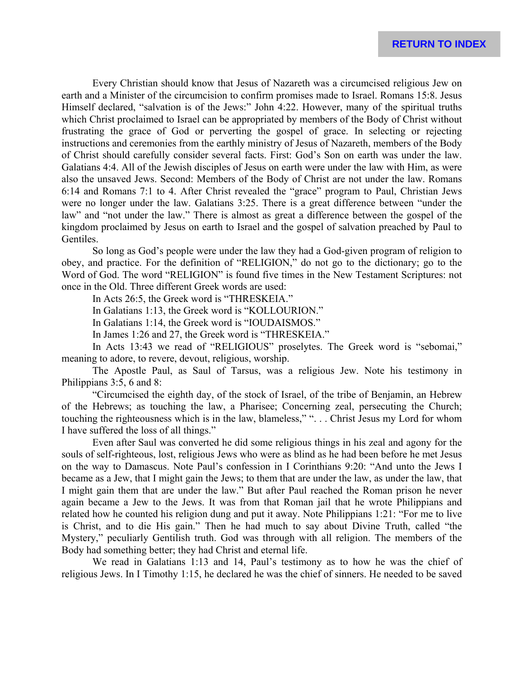Every Christian should know that Jesus of Nazareth was a circumcised religious Jew on earth and a Minister of the circumcision to confirm promises made to Israel. Romans 15:8. Jesus Himself declared, "salvation is of the Jews:" John 4:22. However, many of the spiritual truths which Christ proclaimed to Israel can be appropriated by members of the Body of Christ without frustrating the grace of God or perverting the gospel of grace. In selecting or rejecting instructions and ceremonies from the earthly ministry of Jesus of Nazareth, members of the Body of Christ should carefully consider several facts. First: God's Son on earth was under the law. Galatians 4:4. All of the Jewish disciples of Jesus on earth were under the law with Him, as were also the unsaved Jews. Second: Members of the Body of Christ are not under the law. Romans 6:14 and Romans 7:1 to 4. After Christ revealed the "grace" program to Paul, Christian Jews were no longer under the law. Galatians 3:25. There is a great difference between "under the law" and "not under the law." There is almost as great a difference between the gospel of the kingdom proclaimed by Jesus on earth to Israel and the gospel of salvation preached by Paul to Gentiles.

So long as God's people were under the law they had a God-given program of religion to obey, and practice. For the definition of "RELIGION," do not go to the dictionary; go to the Word of God. The word "RELIGION" is found five times in the New Testament Scriptures: not once in the Old. Three different Greek words are used:

In Acts 26:5, the Greek word is "THRESKEIA."

In Galatians 1:13, the Greek word is "KOLLOURION."

In Galatians 1:14, the Greek word is "IOUDAISMOS."

In James 1:26 and 27, the Greek word is "THRESKEIA."

In Acts 13:43 we read of "RELIGIOUS" proselytes. The Greek word is "sebomai," meaning to adore, to revere, devout, religious, worship.

The Apostle Paul, as Saul of Tarsus, was a religious Jew. Note his testimony in Philippians 3:5, 6 and 8:

"Circumcised the eighth day, of the stock of Israel, of the tribe of Benjamin, an Hebrew of the Hebrews; as touching the law, a Pharisee; Concerning zeal, persecuting the Church; touching the righteousness which is in the law, blameless," ". . . Christ Jesus my Lord for whom I have suffered the loss of all things."

Even after Saul was converted he did some religious things in his zeal and agony for the souls of self-righteous, lost, religious Jews who were as blind as he had been before he met Jesus on the way to Damascus. Note Paul's confession in I Corinthians 9:20: "And unto the Jews I became as a Jew, that I might gain the Jews; to them that are under the law, as under the law, that I might gain them that are under the law." But after Paul reached the Roman prison he never again became a Jew to the Jews. It was from that Roman jail that he wrote Philippians and related how he counted his religion dung and put it away. Note Philippians 1:21: "For me to live is Christ, and to die His gain." Then he had much to say about Divine Truth, called "the Mystery," peculiarly Gentilish truth. God was through with all religion. The members of the Body had something better; they had Christ and eternal life.

We read in Galatians 1:13 and 14, Paul's testimony as to how he was the chief of religious Jews. In I Timothy 1:15, he declared he was the chief of sinners. He needed to be saved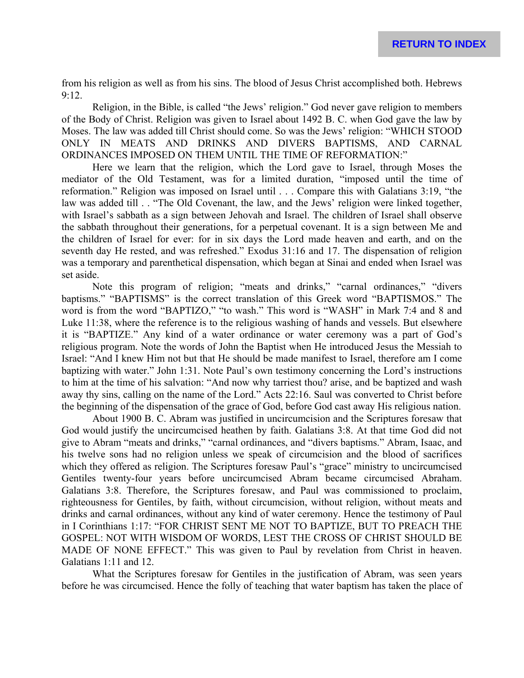from his religion as well as from his sins. The blood of Jesus Christ accomplished both. Hebrews 9:12.

Religion, in the Bible, is called "the Jews' religion." God never gave religion to members of the Body of Christ. Religion was given to Israel about 1492 B. C. when God gave the law by Moses. The law was added till Christ should come. So was the Jews' religion: "WHICH STOOD ONLY IN MEATS AND DRINKS AND DIVERS BAPTISMS, AND CARNAL ORDINANCES IMPOSED ON THEM UNTIL THE TIME OF REFORMATION:"

Here we learn that the religion, which the Lord gave to Israel, through Moses the mediator of the Old Testament, was for a limited duration, "imposed until the time of reformation." Religion was imposed on Israel until . . . Compare this with Galatians 3:19, "the law was added till . . "The Old Covenant, the law, and the Jews' religion were linked together, with Israel's sabbath as a sign between Jehovah and Israel. The children of Israel shall observe the sabbath throughout their generations, for a perpetual covenant. It is a sign between Me and the children of Israel for ever: for in six days the Lord made heaven and earth, and on the seventh day He rested, and was refreshed." Exodus 31:16 and 17. The dispensation of religion was a temporary and parenthetical dispensation, which began at Sinai and ended when Israel was set aside.

Note this program of religion; "meats and drinks," "carnal ordinances," "divers baptisms." "BAPTISMS" is the correct translation of this Greek word "BAPTISMOS." The word is from the word "BAPTIZO," "to wash." This word is "WASH" in Mark 7:4 and 8 and Luke 11:38, where the reference is to the religious washing of hands and vessels. But elsewhere it is "BAPTIZE." Any kind of a water ordinance or water ceremony was a part of God's religious program. Note the words of John the Baptist when He introduced Jesus the Messiah to Israel: "And I knew Him not but that He should be made manifest to Israel, therefore am I come baptizing with water." John 1:31. Note Paul's own testimony concerning the Lord's instructions to him at the time of his salvation: "And now why tarriest thou? arise, and be baptized and wash away thy sins, calling on the name of the Lord." Acts 22:16. Saul was converted to Christ before the beginning of the dispensation of the grace of God, before God cast away His religious nation.

About 1900 B. C. Abram was justified in uncircumcision and the Scriptures foresaw that God would justify the uncircumcised heathen by faith. Galatians 3:8. At that time God did not give to Abram "meats and drinks," "carnal ordinances, and "divers baptisms." Abram, Isaac, and his twelve sons had no religion unless we speak of circumcision and the blood of sacrifices which they offered as religion. The Scriptures foresaw Paul's "grace" ministry to uncircumcised Gentiles twenty-four years before uncircumcised Abram became circumcised Abraham. Galatians 3:8. Therefore, the Scriptures foresaw, and Paul was commissioned to proclaim, righteousness for Gentiles, by faith, without circumcision, without religion, without meats and drinks and carnal ordinances, without any kind of water ceremony. Hence the testimony of Paul in I Corinthians 1:17: "FOR CHRIST SENT ME NOT TO BAPTIZE, BUT TO PREACH THE GOSPEL: NOT WITH WISDOM OF WORDS, LEST THE CROSS OF CHRIST SHOULD BE MADE OF NONE EFFECT." This was given to Paul by revelation from Christ in heaven. Galatians 1:11 and 12.

What the Scriptures foresaw for Gentiles in the justification of Abram, was seen years before he was circumcised. Hence the folly of teaching that water baptism has taken the place of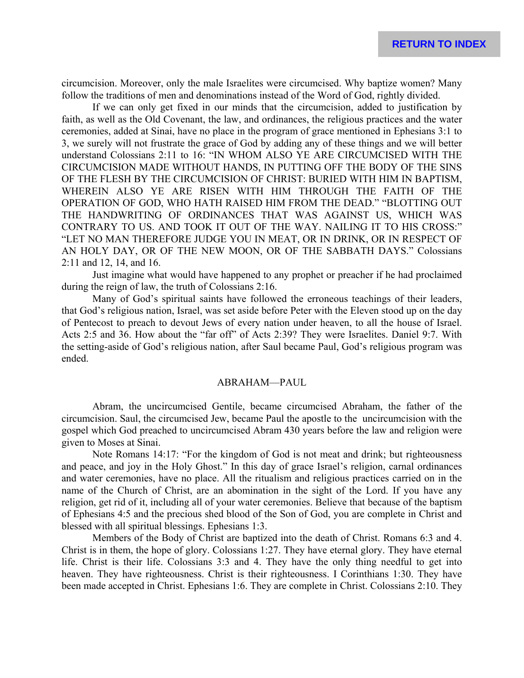circumcision. Moreover, only the male Israelites were circumcised. Why baptize women? Many follow the traditions of men and denominations instead of the Word of God, rightly divided.

If we can only get fixed in our minds that the circumcision, added to justification by faith, as well as the Old Covenant, the law, and ordinances, the religious practices and the water ceremonies, added at Sinai, have no place in the program of grace mentioned in Ephesians 3:1 to 3, we surely will not frustrate the grace of God by adding any of these things and we will better understand Colossians 2:11 to 16: "IN WHOM ALSO YE ARE CIRCUMCISED WITH THE CIRCUMCISION MADE WITHOUT HANDS, IN PUTTING OFF THE BODY OF THE SINS OF THE FLESH BY THE CIRCUMCISION OF CHRIST: BURIED WITH HIM IN BAPTISM, WHEREIN ALSO YE ARE RISEN WITH HIM THROUGH THE FAITH OF THE OPERATION OF GOD, WHO HATH RAISED HIM FROM THE DEAD." "BLOTTING OUT THE HANDWRITING OF ORDINANCES THAT WAS AGAINST US, WHICH WAS CONTRARY TO US. AND TOOK IT OUT OF THE WAY. NAILING IT TO HIS CROSS:" "LET NO MAN THEREFORE JUDGE YOU IN MEAT, OR IN DRINK, OR IN RESPECT OF AN HOLY DAY, OR OF THE NEW MOON, OR OF THE SABBATH DAYS." Colossians 2:11 and 12, 14, and 16.

Just imagine what would have happened to any prophet or preacher if he had proclaimed during the reign of law, the truth of Colossians 2:16.

Many of God's spiritual saints have followed the erroneous teachings of their leaders, that God's religious nation, Israel, was set aside before Peter with the Eleven stood up on the day of Pentecost to preach to devout Jews of every nation under heaven, to all the house of Israel. Acts 2:5 and 36. How about the "far off" of Acts 2:39? They were Israelites. Daniel 9:7. With the setting-aside of God's religious nation, after Saul became Paul, God's religious program was ended.

#### ABRAHAM—PAUL

Abram, the uncircumcised Gentile, became circumcised Abraham, the father of the circumcision. Saul, the circumcised Jew, became Paul the apostle to the uncircumcision with the gospel which God preached to uncircumcised Abram 430 years before the law and religion were given to Moses at Sinai.

Note Romans 14:17: "For the kingdom of God is not meat and drink; but righteousness and peace, and joy in the Holy Ghost." In this day of grace Israel's religion, carnal ordinances and water ceremonies, have no place. All the ritualism and religious practices carried on in the name of the Church of Christ, are an abomination in the sight of the Lord. If you have any religion, get rid of it, including all of your water ceremonies. Believe that because of the baptism of Ephesians 4:5 and the precious shed blood of the Son of God, you are complete in Christ and blessed with all spiritual blessings. Ephesians 1:3.

Members of the Body of Christ are baptized into the death of Christ. Romans 6:3 and 4. Christ is in them, the hope of glory. Colossians 1:27. They have eternal glory. They have eternal life. Christ is their life. Colossians 3:3 and 4. They have the only thing needful to get into heaven. They have righteousness. Christ is their righteousness. I Corinthians 1:30. They have been made accepted in Christ. Ephesians 1:6. They are complete in Christ. Colossians 2:10. They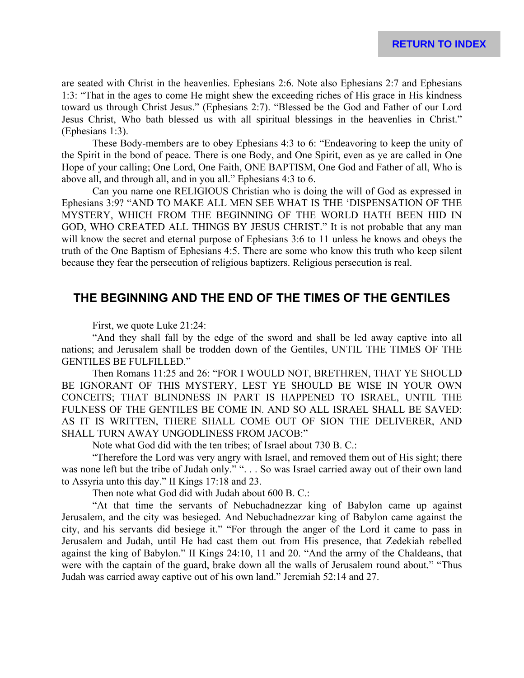are seated with Christ in the heavenlies. Ephesians 2:6. Note also Ephesians 2:7 and Ephesians 1:3: "That in the ages to come He might shew the exceeding riches of His grace in His kindness toward us through Christ Jesus." (Ephesians 2:7). "Blessed be the God and Father of our Lord Jesus Christ, Who bath blessed us with all spiritual blessings in the heavenlies in Christ." (Ephesians 1:3).

These Body-members are to obey Ephesians 4:3 to 6: "Endeavoring to keep the unity of the Spirit in the bond of peace. There is one Body, and One Spirit, even as ye are called in One Hope of your calling; One Lord, One Faith, ONE BAPTISM, One God and Father of all, Who is above all, and through all, and in you all." Ephesians 4:3 to 6.

Can you name one RELIGIOUS Christian who is doing the will of God as expressed in Ephesians 3:9? "AND TO MAKE ALL MEN SEE WHAT IS THE 'DISPENSATION OF THE MYSTERY, WHICH FROM THE BEGINNING OF THE WORLD HATH BEEN HID IN GOD, WHO CREATED ALL THINGS BY JESUS CHRIST." It is not probable that any man will know the secret and eternal purpose of Ephesians 3:6 to 11 unless he knows and obeys the truth of the One Baptism of Ephesians 4:5. There are some who know this truth who keep silent because they fear the persecution of religious baptizers. Religious persecution is real.

# **THE BEGINNING AND THE END OF THE TIMES OF THE GENTILES**

First, we quote Luke 21:24:

"And they shall fall by the edge of the sword and shall be led away captive into all nations; and Jerusalem shall be trodden down of the Gentiles, UNTIL THE TIMES OF THE GENTILES BE FULFILLED."

Then Romans 11:25 and 26: "FOR I WOULD NOT, BRETHREN, THAT YE SHOULD BE IGNORANT OF THIS MYSTERY, LEST YE SHOULD BE WISE IN YOUR OWN CONCEITS; THAT BLINDNESS IN PART IS HAPPENED TO ISRAEL, UNTIL THE FULNESS OF THE GENTILES BE COME IN. AND SO ALL ISRAEL SHALL BE SAVED: AS IT IS WRITTEN, THERE SHALL COME OUT OF SION THE DELIVERER, AND SHALL TURN AWAY UNGODLINESS FROM JACOB:"

Note what God did with the ten tribes; of Israel about 730 B. C.:

"Therefore the Lord was very angry with Israel, and removed them out of His sight; there was none left but the tribe of Judah only." ". . . So was Israel carried away out of their own land to Assyria unto this day." II Kings 17:18 and 23.

Then note what God did with Judah about 600 B. C.:

"At that time the servants of Nebuchadnezzar king of Babylon came up against Jerusalem, and the city was besieged. And Nebuchadnezzar king of Babylon came against the city, and his servants did besiege it." "For through the anger of the Lord it came to pass in Jerusalem and Judah, until He had cast them out from His presence, that Zedekiah rebelled against the king of Babylon." II Kings 24:10, 11 and 20. "And the army of the Chaldeans, that were with the captain of the guard, brake down all the walls of Jerusalem round about." "Thus Judah was carried away captive out of his own land." Jeremiah 52:14 and 27.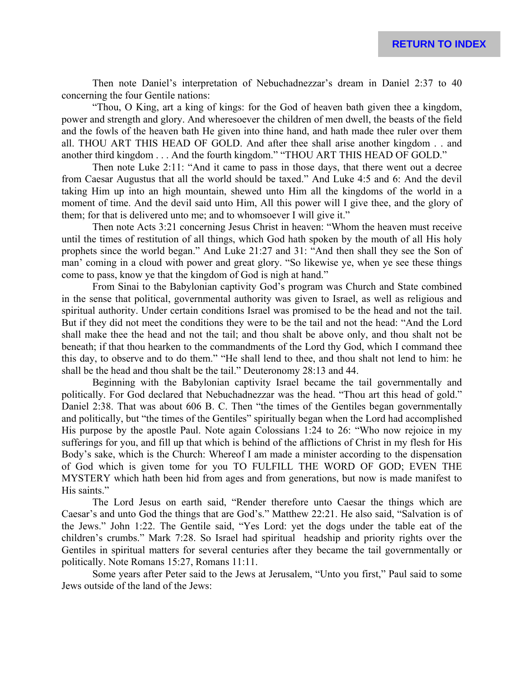Then note Daniel's interpretation of Nebuchadnezzar's dream in Daniel 2:37 to 40 concerning the four Gentile nations:

"Thou, O King, art a king of kings: for the God of heaven bath given thee a kingdom, power and strength and glory. And wheresoever the children of men dwell, the beasts of the field and the fowls of the heaven bath He given into thine hand, and hath made thee ruler over them all. THOU ART THIS HEAD OF GOLD. And after thee shall arise another kingdom . . and another third kingdom . . . And the fourth kingdom." "THOU ART THIS HEAD OF GOLD."

Then note Luke 2:11: "And it came to pass in those days, that there went out a decree from Caesar Augustus that all the world should be taxed." And Luke 4:5 and 6: And the devil taking Him up into an high mountain, shewed unto Him all the kingdoms of the world in a moment of time. And the devil said unto Him, All this power will I give thee, and the glory of them; for that is delivered unto me; and to whomsoever I will give it."

Then note Acts 3:21 concerning Jesus Christ in heaven: "Whom the heaven must receive until the times of restitution of all things, which God hath spoken by the mouth of all His holy prophets since the world began." And Luke 21:27 and 31: "And then shall they see the Son of man' coming in a cloud with power and great glory. "So likewise ye, when ye see these things come to pass, know ye that the kingdom of God is nigh at hand."

From Sinai to the Babylonian captivity God's program was Church and State combined in the sense that political, governmental authority was given to Israel, as well as religious and spiritual authority. Under certain conditions Israel was promised to be the head and not the tail. But if they did not meet the conditions they were to be the tail and not the head: "And the Lord shall make thee the head and not the tail; and thou shalt be above only, and thou shalt not be beneath; if that thou hearken to the commandments of the Lord thy God, which I command thee this day, to observe and to do them." "He shall lend to thee, and thou shalt not lend to him: he shall be the head and thou shalt be the tail." Deuteronomy 28:13 and 44.

Beginning with the Babylonian captivity Israel became the tail governmentally and politically. For God declared that Nebuchadnezzar was the head. "Thou art this head of gold." Daniel 2:38. That was about 606 B. C. Then "the times of the Gentiles began governmentally and politically, but "the times of the Gentiles" spiritually began when the Lord had accomplished His purpose by the apostle Paul. Note again Colossians 1:24 to 26: "Who now rejoice in my sufferings for you, and fill up that which is behind of the afflictions of Christ in my flesh for His Body's sake, which is the Church: Whereof I am made a minister according to the dispensation of God which is given tome for you TO FULFILL THE WORD OF GOD; EVEN THE MYSTERY which hath been hid from ages and from generations, but now is made manifest to His saints."

The Lord Jesus on earth said, "Render therefore unto Caesar the things which are Caesar's and unto God the things that are God's." Matthew 22:21. He also said, "Salvation is of the Jews." John 1:22. The Gentile said, "Yes Lord: yet the dogs under the table eat of the children's crumbs." Mark 7:28. So Israel had spiritual headship and priority rights over the Gentiles in spiritual matters for several centuries after they became the tail governmentally or politically. Note Romans 15:27, Romans 11:11.

Some years after Peter said to the Jews at Jerusalem, "Unto you first," Paul said to some Jews outside of the land of the Jews: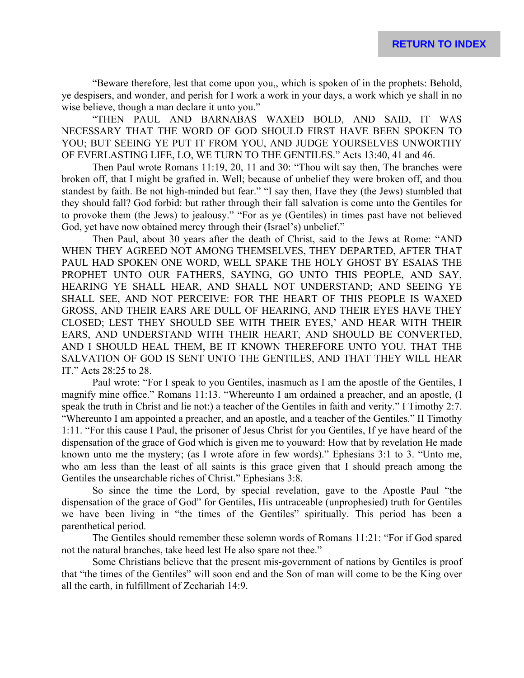"Beware therefore, lest that come upon you,, which is spoken of in the prophets: Behold, ye despisers, and wonder, and perish for I work a work in your days, a work which ye shall in no wise believe, though a man declare it unto you."

"THEN PAUL AND BARNABAS WAXED BOLD, AND SAID, IT WAS NECESSARY THAT THE WORD OF GOD SHOULD FIRST HAVE BEEN SPOKEN TO YOU; BUT SEEING YE PUT IT FROM YOU, AND JUDGE YOURSELVES UNWORTHY OF EVERLASTING LIFE, LO, WE TURN TO THE GENTILES." Acts 13:40, 41 and 46.

Then Paul wrote Romans 11:19, 20, 11 and 30: "Thou wilt say then, The branches were broken off, that I might be grafted in. Well; because of unbelief they were broken off, and thou standest by faith. Be not high-minded but fear." "I say then, Have they (the Jews) stumbled that they should fall? God forbid: but rather through their fall salvation is come unto the Gentiles for to provoke them (the Jews) to jealousy." "For as ye (Gentiles) in times past have not believed God, yet have now obtained mercy through their (Israel's) unbelief."

Then Paul, about 30 years after the death of Christ, said to the Jews at Rome: "AND WHEN THEY AGREED NOT AMONG THEMSELVES, THEY DEPARTED, AFTER THAT PAUL HAD SPOKEN ONE WORD, WELL SPAKE THE HOLY GHOST BY ESAIAS THE PROPHET UNTO OUR FATHERS, SAYING, GO UNTO THIS PEOPLE, AND SAY, HEARING YE SHALL HEAR, AND SHALL NOT UNDERSTAND; AND SEEING YE SHALL SEE, AND NOT PERCEIVE: FOR THE HEART OF THIS PEOPLE IS WAXED GROSS, AND THEIR EARS ARE DULL OF HEARING, AND THEIR EYES HAVE THEY CLOSED; LEST THEY SHOULD SEE WITH THEIR EYES,' AND HEAR WITH THEIR EARS, AND UNDERSTAND WITH THEIR HEART, AND SHOULD BE CONVERTED, AND I SHOULD HEAL THEM, BE IT KNOWN THEREFORE UNTO YOU, THAT THE SALVATION OF GOD IS SENT UNTO THE GENTILES, AND THAT THEY WILL HEAR IT." Acts 28:25 to 28.

Paul wrote: "For I speak to you Gentiles, inasmuch as I am the apostle of the Gentiles, I magnify mine office." Romans 11:13. "Whereunto I am ordained a preacher, and an apostle, (I speak the truth in Christ and lie not:) a teacher of the Gentiles in faith and verity." I Timothy 2:7. "Whereunto I am appointed a preacher, and an apostle, and a teacher of the Gentiles." II Timothy 1:11. "For this cause I Paul, the prisoner of Jesus Christ for you Gentiles, If ye have heard of the dispensation of the grace of God which is given me to youward: How that by revelation He made known unto me the mystery; (as I wrote afore in few words)." Ephesians 3:1 to 3. "Unto me, who am less than the least of all saints is this grace given that I should preach among the Gentiles the unsearchable riches of Christ." Ephesians 3:8.

So since the time the Lord, by special revelation, gave to the Apostle Paul "the dispensation of the grace of God" for Gentiles, His untraceable (unprophesied) truth for Gentiles we have been living in "the times of the Gentiles" spiritually. This period has been a parenthetical period.

The Gentiles should remember these solemn words of Romans 11:21: "For if God spared not the natural branches, take heed lest He also spare not thee."

Some Christians believe that the present mis-government of nations by Gentiles is proof that "the times of the Gentiles" will soon end and the Son of man will come to be the King over all the earth, in fulfillment of Zechariah 14:9.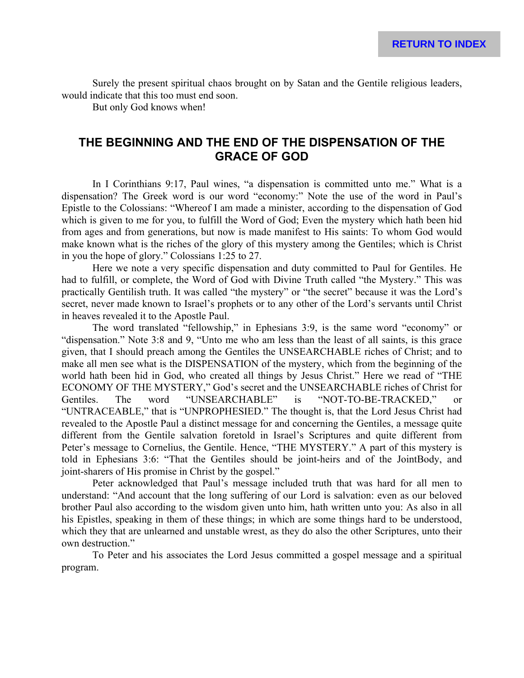Surely the present spiritual chaos brought on by Satan and the Gentile religious leaders, would indicate that this too must end soon.

But only God knows when!

# **THE BEGINNING AND THE END OF THE DISPENSATION OF THE GRACE OF GOD**

In I Corinthians 9:17, Paul wines, "a dispensation is committed unto me." What is a dispensation? The Greek word is our word "economy:" Note the use of the word in Paul's Epistle to the Colossians: "Whereof I am made a minister, according to the dispensation of God which is given to me for you, to fulfill the Word of God; Even the mystery which hath been hid from ages and from generations, but now is made manifest to His saints: To whom God would make known what is the riches of the glory of this mystery among the Gentiles; which is Christ in you the hope of glory." Colossians 1:25 to 27.

Here we note a very specific dispensation and duty committed to Paul for Gentiles. He had to fulfill, or complete, the Word of God with Divine Truth called "the Mystery." This was practically Gentilish truth. It was called "the mystery" or "the secret" because it was the Lord's secret, never made known to Israel's prophets or to any other of the Lord's servants until Christ in heaves revealed it to the Apostle Paul.

The word translated "fellowship," in Ephesians 3:9, is the same word "economy" or "dispensation." Note 3:8 and 9, "Unto me who am less than the least of all saints, is this grace given, that I should preach among the Gentiles the UNSEARCHABLE riches of Christ; and to make all men see what is the DISPENSATION of the mystery, which from the beginning of the world hath been hid in God, who created all things by Jesus Christ." Here we read of "THE ECONOMY OF THE MYSTERY," God's secret and the UNSEARCHABLE riches of Christ for Gentiles. The word "UNSEARCHABLE" is "NOT-TO-BE-TRACKED," or "UNTRACEABLE," that is "UNPROPHESIED." The thought is, that the Lord Jesus Christ had revealed to the Apostle Paul a distinct message for and concerning the Gentiles, a message quite different from the Gentile salvation foretold in Israel's Scriptures and quite different from Peter's message to Cornelius, the Gentile. Hence, "THE MYSTERY." A part of this mystery is told in Ephesians 3:6: "That the Gentiles should be joint-heirs and of the JointBody, and joint-sharers of His promise in Christ by the gospel."

Peter acknowledged that Paul's message included truth that was hard for all men to understand: "And account that the long suffering of our Lord is salvation: even as our beloved brother Paul also according to the wisdom given unto him, hath written unto you: As also in all his Epistles, speaking in them of these things; in which are some things hard to be understood, which they that are unlearned and unstable wrest, as they do also the other Scriptures, unto their own destruction."

To Peter and his associates the Lord Jesus committed a gospel message and a spiritual program.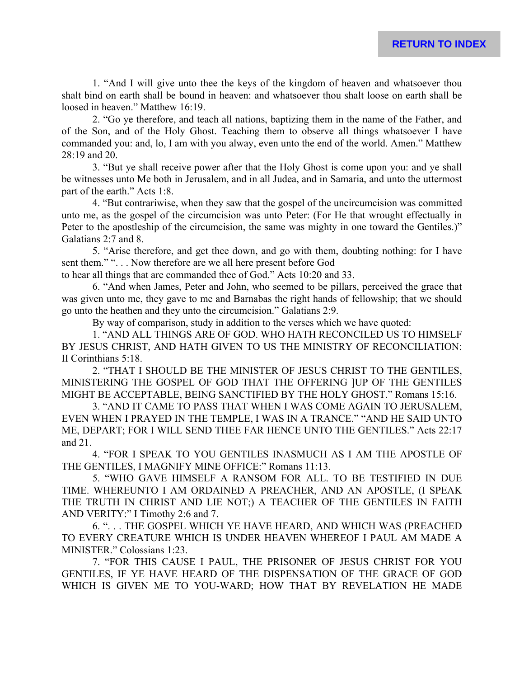1. "And I will give unto thee the keys of the kingdom of heaven and whatsoever thou shalt bind on earth shall be bound in heaven: and whatsoever thou shalt loose on earth shall be loosed in heaven." Matthew 16:19.

2. "Go ye therefore, and teach all nations, baptizing them in the name of the Father, and of the Son, and of the Holy Ghost. Teaching them to observe all things whatsoever I have commanded you: and, lo, I am with you alway, even unto the end of the world. Amen." Matthew 28:19 and 20.

3. "But ye shall receive power after that the Holy Ghost is come upon you: and ye shall be witnesses unto Me both in Jerusalem, and in all Judea, and in Samaria, and unto the uttermost part of the earth." Acts 1:8.

4. "But contrariwise, when they saw that the gospel of the uncircumcision was committed unto me, as the gospel of the circumcision was unto Peter: (For He that wrought effectually in Peter to the apostleship of the circumcision, the same was mighty in one toward the Gentiles.)" Galatians 2:7 and 8.

5. "Arise therefore, and get thee down, and go with them, doubting nothing: for I have sent them." "... Now therefore are we all here present before God

to hear all things that are commanded thee of God." Acts 10:20 and 33.

6. "And when James, Peter and John, who seemed to be pillars, perceived the grace that was given unto me, they gave to me and Barnabas the right hands of fellowship; that we should go unto the heathen and they unto the circumcision." Galatians 2:9.

By way of comparison, study in addition to the verses which we have quoted:

1. "AND ALL THINGS ARE OF GOD. WHO HATH RECONCILED US TO HIMSELF BY JESUS CHRIST, AND HATH GIVEN TO US THE MINISTRY OF RECONCILIATION: II Corinthians 5:18.

2. "THAT I SHOULD BE THE MINISTER OF JESUS CHRIST TO THE GENTILES, MINISTERING THE GOSPEL OF GOD THAT THE OFFERING ]UP OF THE GENTILES MIGHT BE ACCEPTABLE, BEING SANCTIFIED BY THE HOLY GHOST." Romans 15:16.

3. "AND IT CAME TO PASS THAT WHEN I WAS COME AGAIN TO JERUSALEM, EVEN WHEN I PRAYED IN THE TEMPLE, I WAS IN A TRANCE." "AND HE SAID UNTO ME, DEPART; FOR I WILL SEND THEE FAR HENCE UNTO THE GENTILES." Acts 22:17 and 21.

4. "FOR I SPEAK TO YOU GENTILES INASMUCH AS I AM THE APOSTLE OF THE GENTILES, I MAGNIFY MINE OFFICE:" Romans 11:13.

5. "WHO GAVE HIMSELF A RANSOM FOR ALL. TO BE TESTIFIED IN DUE TIME. WHEREUNTO I AM ORDAINED A PREACHER, AND AN APOSTLE, (I SPEAK THE TRUTH IN CHRIST AND LIE NOT;) A TEACHER OF THE GENTILES IN FAITH AND VERITY:" I Timothy 2:6 and 7.

6. ". . . THE GOSPEL WHICH YE HAVE HEARD, AND WHICH WAS (PREACHED TO EVERY CREATURE WHICH IS UNDER HEAVEN WHEREOF I PAUL AM MADE A MINISTER." Colossians 1:23.

7. "FOR THIS CAUSE I PAUL, THE PRISONER OF JESUS CHRIST FOR YOU GENTILES, IF YE HAVE HEARD OF THE DISPENSATION OF THE GRACE OF GOD WHICH IS GIVEN ME TO YOU-WARD; HOW THAT BY REVELATION HE MADE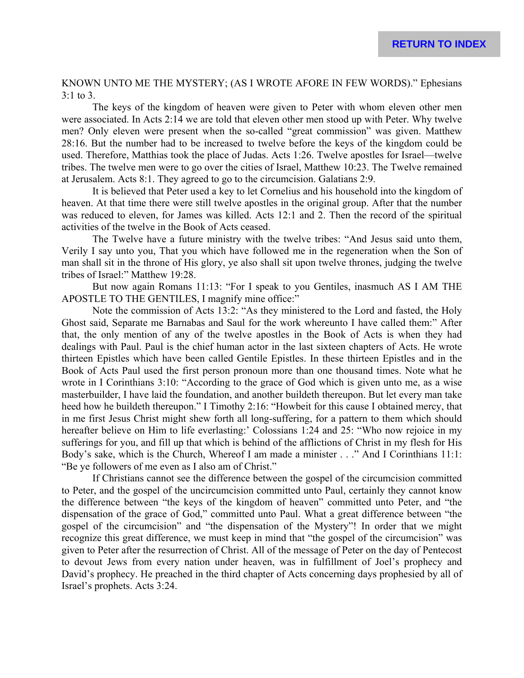KNOWN UNTO ME THE MYSTERY; (AS I WROTE AFORE IN FEW WORDS)." Ephesians 3:1 to 3.

The keys of the kingdom of heaven were given to Peter with whom eleven other men were associated. In Acts 2:14 we are told that eleven other men stood up with Peter. Why twelve men? Only eleven were present when the so-called "great commission" was given. Matthew 28:16. But the number had to be increased to twelve before the keys of the kingdom could be used. Therefore, Matthias took the place of Judas. Acts 1:26. Twelve apostles for Israel—twelve tribes. The twelve men were to go over the cities of Israel, Matthew 10:23. The Twelve remained at Jerusalem. Acts 8:1. They agreed to go to the circumcision. Galatians 2:9.

It is believed that Peter used a key to let Cornelius and his household into the kingdom of heaven. At that time there were still twelve apostles in the original group. After that the number was reduced to eleven, for James was killed. Acts 12:1 and 2. Then the record of the spiritual activities of the twelve in the Book of Acts ceased.

The Twelve have a future ministry with the twelve tribes: "And Jesus said unto them, Verily I say unto you, That you which have followed me in the regeneration when the Son of man shall sit in the throne of His glory, ye also shall sit upon twelve thrones, judging the twelve tribes of Israel:" Matthew 19:28.

But now again Romans 11:13: "For I speak to you Gentiles, inasmuch AS I AM THE APOSTLE TO THE GENTILES, I magnify mine office:"

Note the commission of Acts 13:2: "As they ministered to the Lord and fasted, the Holy Ghost said, Separate me Barnabas and Saul for the work whereunto I have called them:" After that, the only mention of any of the twelve apostles in the Book of Acts is when they had dealings with Paul. Paul is the chief human actor in the last sixteen chapters of Acts. He wrote thirteen Epistles which have been called Gentile Epistles. In these thirteen Epistles and in the Book of Acts Paul used the first person pronoun more than one thousand times. Note what he wrote in I Corinthians 3:10: "According to the grace of God which is given unto me, as a wise masterbuilder, I have laid the foundation, and another buildeth thereupon. But let every man take heed how he buildeth thereupon." I Timothy 2:16: "Howbeit for this cause I obtained mercy, that in me first Jesus Christ might shew forth all long-suffering, for a pattern to them which should hereafter believe on Him to life everlasting:' Colossians 1:24 and 25: "Who now rejoice in my sufferings for you, and fill up that which is behind of the afflictions of Christ in my flesh for His Body's sake, which is the Church, Whereof I am made a minister . . ." And I Corinthians 11:1: "Be ye followers of me even as I also am of Christ."

If Christians cannot see the difference between the gospel of the circumcision committed to Peter, and the gospel of the uncircumcision committed unto Paul, certainly they cannot know the difference between "the keys of the kingdom of heaven" committed unto Peter, and "the dispensation of the grace of God," committed unto Paul. What a great difference between "the gospel of the circumcision" and "the dispensation of the Mystery"! In order that we might recognize this great difference, we must keep in mind that "the gospel of the circumcision" was given to Peter after the resurrection of Christ. All of the message of Peter on the day of Pentecost to devout Jews from every nation under heaven, was in fulfillment of Joel's prophecy and David's prophecy. He preached in the third chapter of Acts concerning days prophesied by all of Israel's prophets. Acts 3:24.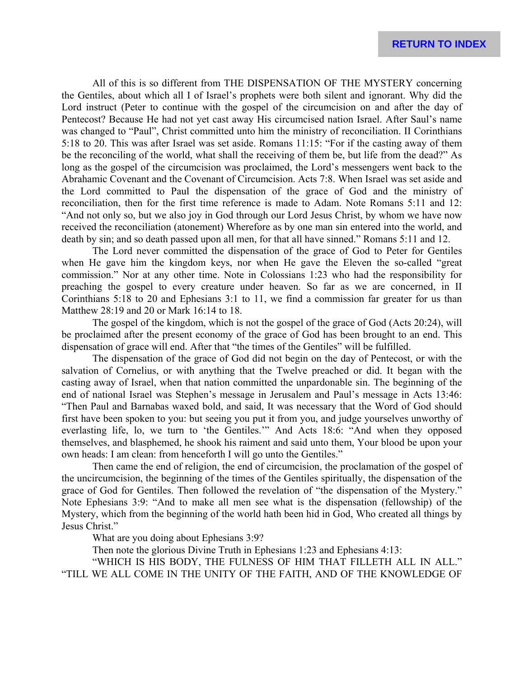All of this is so different from THE DISPENSATION OF THE MYSTERY concerning the Gentiles, about which all I of Israel's prophets were both silent and ignorant. Why did the Lord instruct (Peter to continue with the gospel of the circumcision on and after the day of Pentecost? Because He had not yet cast away His circumcised nation Israel. After Saul's name was changed to "Paul", Christ committed unto him the ministry of reconciliation. II Corinthians 5:18 to 20. This was after Israel was set aside. Romans 11:15: "For if the casting away of them be the reconciling of the world, what shall the receiving of them be, but life from the dead?" As long as the gospel of the circumcision was proclaimed, the Lord's messengers went back to the Abrahamic Covenant and the Covenant of Circumcision. Acts 7:8. When Israel was set aside and the Lord committed to Paul the dispensation of the grace of God and the ministry of reconciliation, then for the first time reference is made to Adam. Note Romans 5:11 and 12: "And not only so, but we also joy in God through our Lord Jesus Christ, by whom we have now received the reconciliation (atonement) Wherefore as by one man sin entered into the world, and death by sin; and so death passed upon all men, for that all have sinned." Romans 5:11 and 12.

The Lord never committed the dispensation of the grace of God to Peter for Gentiles when He gave him the kingdom keys, nor when He gave the Eleven the so-called "great commission." Nor at any other time. Note in Colossians 1:23 who had the responsibility for preaching the gospel to every creature under heaven. So far as we are concerned, in II Corinthians 5:18 to 20 and Ephesians 3:1 to 11, we find a commission far greater for us than Matthew 28:19 and 20 or Mark 16:14 to 18.

The gospel of the kingdom, which is not the gospel of the grace of God (Acts 20:24), will be proclaimed after the present economy of the grace of God has been brought to an end. This dispensation of grace will end. After that "the times of the Gentiles" will be fulfilled.

The dispensation of the grace of God did not begin on the day of Pentecost, or with the salvation of Cornelius, or with anything that the Twelve preached or did. It began with the casting away of Israel, when that nation committed the unpardonable sin. The beginning of the end of national Israel was Stephen's message in Jerusalem and Paul's message in Acts 13:46: "Then Paul and Barnabas waxed bold, and said, It was necessary that the Word of God should first have been spoken to you: but seeing you put it from you, and judge yourselves unworthy of everlasting life, lo, we turn to 'the Gentiles.'" And Acts 18:6: "And when they opposed themselves, and blasphemed, he shook his raiment and said unto them, Your blood be upon your own heads: I am clean: from henceforth I will go unto the Gentiles."

Then came the end of religion, the end of circumcision, the proclamation of the gospel of the uncircumcision, the beginning of the times of the Gentiles spiritually, the dispensation of the grace of God for Gentiles. Then followed the revelation of "the dispensation of the Mystery." Note Ephesians 3:9: "And to make all men see what is the dispensation (fellowship) of the Mystery, which from the beginning of the world hath been hid in God, Who created all things by Jesus Christ."

What are you doing about Ephesians 3:9?

Then note the glorious Divine Truth in Ephesians 1:23 and Ephesians 4:13:

"WHICH IS HIS BODY, THE FULNESS OF HIM THAT FILLETH ALL IN ALL." "TILL WE ALL COME IN THE UNITY OF THE FAITH, AND OF THE KNOWLEDGE OF